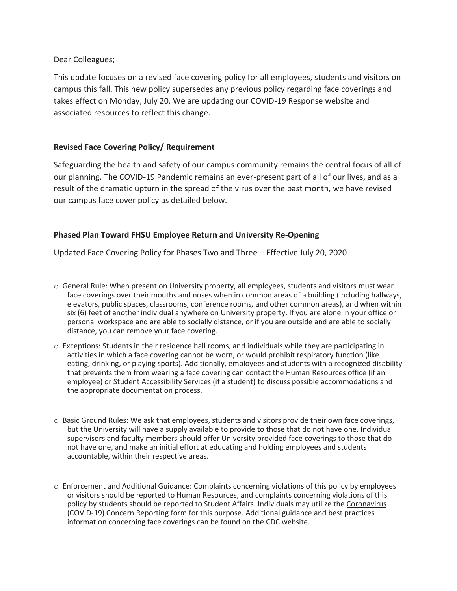Dear Colleagues;

This update focuses on a revised face covering policy for all employees, students and visitors on campus this fall. This new policy supersedes any previous policy regarding face coverings and takes effect on Monday, July 20. We are updating our COVID-19 Response website and associated resources to reflect this change.

# **Revised Face Covering Policy/ Requirement**

Safeguarding the health and safety of our campus community remains the central focus of all of our planning. The COVID-19 Pandemic remains an ever-present part of all of our lives, and as a result of the dramatic upturn in the spread of the virus over the past month, we have revised our campus face cover policy as detailed below.

## **Phased Plan Toward FHSU Employee Return and University Re-Opening**

Updated Face Covering Policy for Phases Two and Three – Effective July 20, 2020

- o General Rule: When present on University property, all employees, students and visitors must wear face coverings over their mouths and noses when in common areas of a building (including hallways, elevators, public spaces, classrooms, conference rooms, and other common areas), and when within six (6) feet of another individual anywhere on University property. If you are alone in your office or personal workspace and are able to socially distance, or if you are outside and are able to socially distance, you can remove your face covering.
- $\circ$  Exceptions: Students in their residence hall rooms, and individuals while they are participating in activities in which a face covering cannot be worn, or would prohibit respiratory function (like eating, drinking, or playing sports). Additionally, employees and students with a recognized disability that prevents them from wearing a face covering can contact the Human Resources office (if an employee) or Student Accessibility Services (if a student) to discuss possible accommodations and the appropriate documentation process.
- o Basic Ground Rules: We ask that employees, students and visitors provide their own face coverings, but the University will have a supply available to provide to those that do not have one. Individual supervisors and faculty members should offer University provided face coverings to those that do not have one, and make an initial effort at educating and holding employees and students accountable, within their respective areas.
- o Enforcement and Additional Guidance: Complaints concerning violations of this policy by employees or visitors should be reported to Human Resources, and complaints concerning violations of this policy by students should be reported to Student Affairs. Individuals may utilize the [Coronavirus](https://cm.maxient.com/reportingform.php?FortHaysStateUniv&layout_id=10)  [\(COVID-19\) Concern Reporting](https://cm.maxient.com/reportingform.php?FortHaysStateUniv&layout_id=10) form for this purpose. Additional guidance and best practices information concerning face coverings can be found on the [CDC website.](https://www.cdc.gov/coronavirus/2019-ncov/prevent-getting-sick/diy-cloth-face-coverings.html)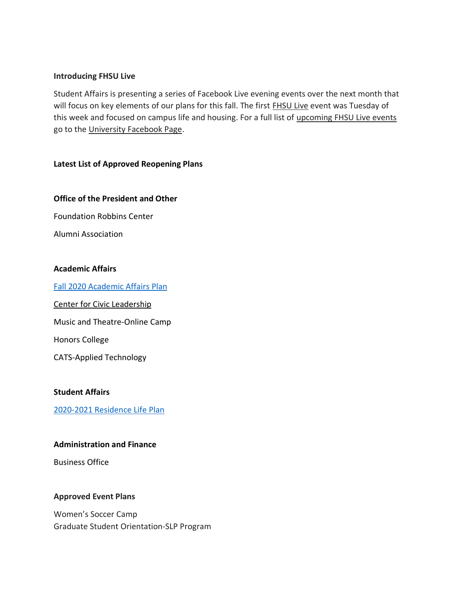#### **Introducing FHSU Live**

Student Affairs is presenting a series of Facebook Live evening events over the next month that will focus on key elements of our plans for this fall. The first [FHSU Live](https://www.facebook.com/forthaysstate/videos/2698225470409695) event was Tuesday of this week and focused on campus life and housing. For a full list of [upcoming FHSU Live events](https://www.facebook.com/forthaysstate/photos/pcb.10158765798331563/10158765798216563/) go to the [University Facebook Page.](https://www.facebook.com/forthaysstate)

## **Latest List of Approved Reopening Plans**

## **Office of the President and Other**

Foundation Robbins Center

Alumni Association

#### **Academic Affairs**

[Fall 2020 Academic Affairs Plan](https://www.fhsu.edu/covid-19-response/updates/fall-2020-academic-affairs-plan)

Center for Civic Leadership

Music and Theatre-Online Camp

Honors College

CATS-Applied Technology

## **Student Affairs**

[2020-2021 Residence Life Plan](https://www.fhsu.edu/covid-19-response/updates/fhsu-2020-2021-residential-life-plan)

#### **Administration and Finance**

Business Office

## **Approved Event Plans**

Women's Soccer Camp Graduate Student Orientation-SLP Program